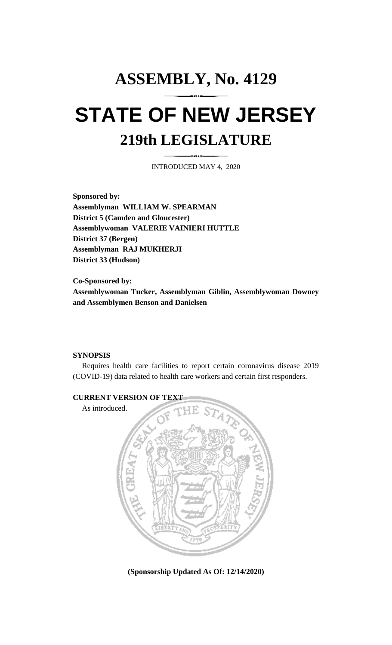## **ASSEMBLY, No. 4129 STATE OF NEW JERSEY 219th LEGISLATURE**

INTRODUCED MAY 4, 2020

**Sponsored by: Assemblyman WILLIAM W. SPEARMAN District 5 (Camden and Gloucester) Assemblywoman VALERIE VAINIERI HUTTLE District 37 (Bergen) Assemblyman RAJ MUKHERJI District 33 (Hudson)**

**Co-Sponsored by: Assemblywoman Tucker, Assemblyman Giblin, Assemblywoman Downey and Assemblymen Benson and Danielsen**

## **SYNOPSIS**

Requires health care facilities to report certain coronavirus disease 2019 (COVID-19) data related to health care workers and certain first responders.



**(Sponsorship Updated As Of: 12/14/2020)**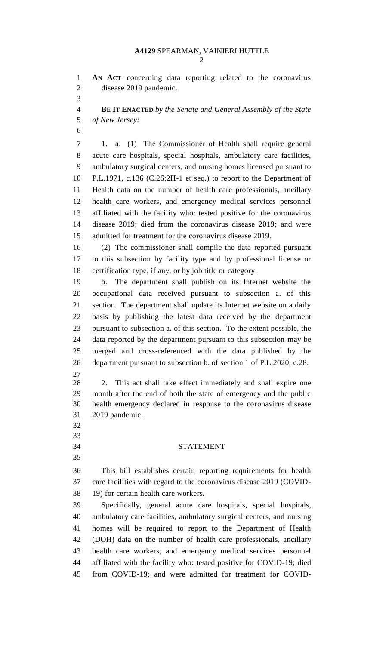**AN ACT** concerning data reporting related to the coronavirus disease 2019 pandemic.

 **BE IT ENACTED** *by the Senate and General Assembly of the State of New Jersey:*

 1. a. (1) The Commissioner of Health shall require general acute care hospitals, special hospitals, ambulatory care facilities, ambulatory surgical centers, and nursing homes licensed pursuant to P.L.1971, c.136 (C.26:2H-1 et seq.) to report to the Department of Health data on the number of health care professionals, ancillary health care workers, and emergency medical services personnel affiliated with the facility who: tested positive for the coronavirus disease 2019; died from the coronavirus disease 2019; and were admitted for treatment for the coronavirus disease 2019.

 (2) The commissioner shall compile the data reported pursuant to this subsection by facility type and by professional license or certification type, if any, or by job title or category.

 b. The department shall publish on its Internet website the occupational data received pursuant to subsection a. of this section. The department shall update its Internet website on a daily basis by publishing the latest data received by the department pursuant to subsection a. of this section. To the extent possible, the data reported by the department pursuant to this subsection may be merged and cross-referenced with the data published by the department pursuant to subsection b. of section 1 of P.L.2020, c.28.

 2. This act shall take effect immediately and shall expire one month after the end of both the state of emergency and the public health emergency declared in response to the coronavirus disease 2019 pandemic.

- 
- 

## STATEMENT

 This bill establishes certain reporting requirements for health care facilities with regard to the coronavirus disease 2019 (COVID-19) for certain health care workers.

 Specifically, general acute care hospitals, special hospitals, ambulatory care facilities, ambulatory surgical centers, and nursing homes will be required to report to the Department of Health (DOH) data on the number of health care professionals, ancillary health care workers, and emergency medical services personnel affiliated with the facility who: tested positive for COVID-19; died from COVID-19; and were admitted for treatment for COVID-